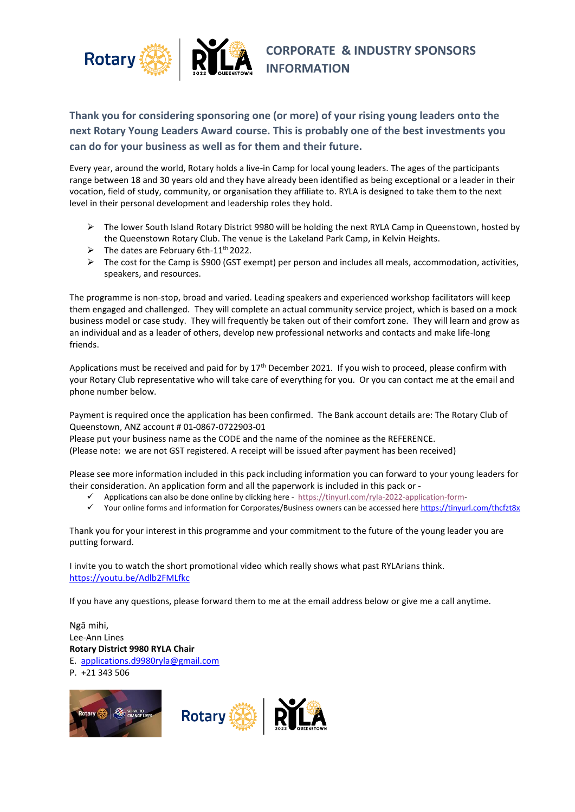

## **Thank you for considering sponsoring one (or more) of your rising young leaders onto the next Rotary Young Leaders Award course. This is probably one of the best investments you can do for your business as well as for them and their future.**

Every year, around the world, Rotary holds a live-in Camp for local young leaders. The ages of the participants range between 18 and 30 years old and they have already been identified as being exceptional or a leader in their vocation, field of study, community, or organisation they affiliate to. RYLA is designed to take them to the next level in their personal development and leadership roles they hold.

- ➢ The lower South Island Rotary District 9980 will be holding the next RYLA Camp in Queenstown, hosted by the Queenstown Rotary Club. The venue is the Lakeland Park Camp, in Kelvin Heights.
- $\triangleright$  The dates are February 6th-11<sup>th</sup> 2022.
- $\triangleright$  The cost for the Camp is \$900 (GST exempt) per person and includes all meals, accommodation, activities, speakers, and resources.

The programme is non-stop, broad and varied. Leading speakers and experienced workshop facilitators will keep them engaged and challenged. They will complete an actual community service project, which is based on a mock business model or case study. They will frequently be taken out of their comfort zone. They will learn and grow as an individual and as a leader of others, develop new professional networks and contacts and make life-long friends.

Applications must be received and paid for by 17<sup>th</sup> December 2021. If you wish to proceed, please confirm with your Rotary Club representative who will take care of everything for you. Or you can contact me at the email and phone number below.

Payment is required once the application has been confirmed. The Bank account details are: The Rotary Club of Queenstown, ANZ account # 01-0867-0722903-01

Please put your business name as the CODE and the name of the nominee as the REFERENCE.

(Please note: we are not GST registered. A receipt will be issued after payment has been received)

Please see more information included in this pack including information you can forward to your young leaders for their consideration. An application form and all the paperwork is included in this pack or -

- Applications can also be done online by clicking here [https://tinyurl.com/ryla-2022-application-form-](https://tinyurl.com/ryla-2022-application-form)
- ✓ Your online forms and information for Corporates/Business owners can be accessed here <https://tinyurl.com/thcfzt8x>

Thank you for your interest in this programme and your commitment to the future of the young leader you are putting forward.

I invite you to watch the short promotional video which really shows what past RYLArians think. <https://youtu.be/Adlb2FMLfkc>

If you have any questions, please forward them to me at the email address below or give me a call anytime.

Ngā mihi, Lee-Ann Lines **Rotary District 9980 RYLA Chair** E. [applications.d9980ryla@gmail.com](mailto:applications.d9980ryla@gmail.com) P. +21 343 506





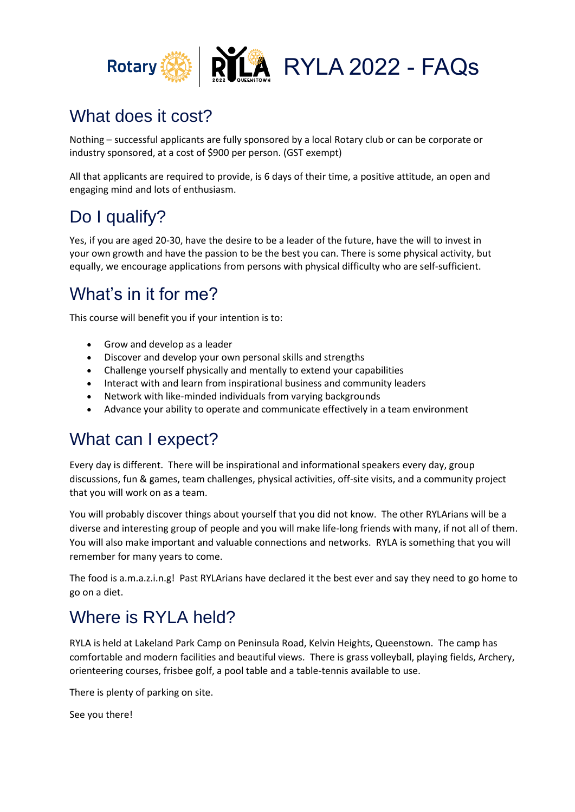

## What does it cost?

Nothing – successful applicants are fully sponsored by a local Rotary club or can be corporate or industry sponsored, at a cost of \$900 per person. (GST exempt)

All that applicants are required to provide, is 6 days of their time, a positive attitude, an open and engaging mind and lots of enthusiasm.

# Do I qualify?

Yes, if you are aged 20-30, have the desire to be a leader of the future, have the will to invest in your own growth and have the passion to be the best you can. There is some physical activity, but equally, we encourage applications from persons with physical difficulty who are self-sufficient.

# What's in it for me?

This course will benefit you if your intention is to:

- Grow and develop as a leader
- Discover and develop your own personal skills and strengths
- Challenge yourself physically and mentally to extend your capabilities
- Interact with and learn from inspirational business and community leaders
- Network with like-minded individuals from varying backgrounds
- Advance your ability to operate and communicate effectively in a team environment

## What can I expect?

Every day is different. There will be inspirational and informational speakers every day, group discussions, fun & games, team challenges, physical activities, off-site visits, and a community project that you will work on as a team.

You will probably discover things about yourself that you did not know. The other RYLArians will be a diverse and interesting group of people and you will make life-long friends with many, if not all of them. You will also make important and valuable connections and networks. RYLA is something that you will remember for many years to come.

The food is a.m.a.z.i.n.g! Past RYLArians have declared it the best ever and say they need to go home to go on a diet.

# Where is RYLA held?

RYLA is held at Lakeland Park Camp on Peninsula Road, Kelvin Heights, Queenstown. The camp has comfortable and modern facilities and beautiful views. There is grass volleyball, playing fields, Archery, orienteering courses, frisbee golf, a pool table and a table-tennis available to use.

There is plenty of parking on site.

See you there!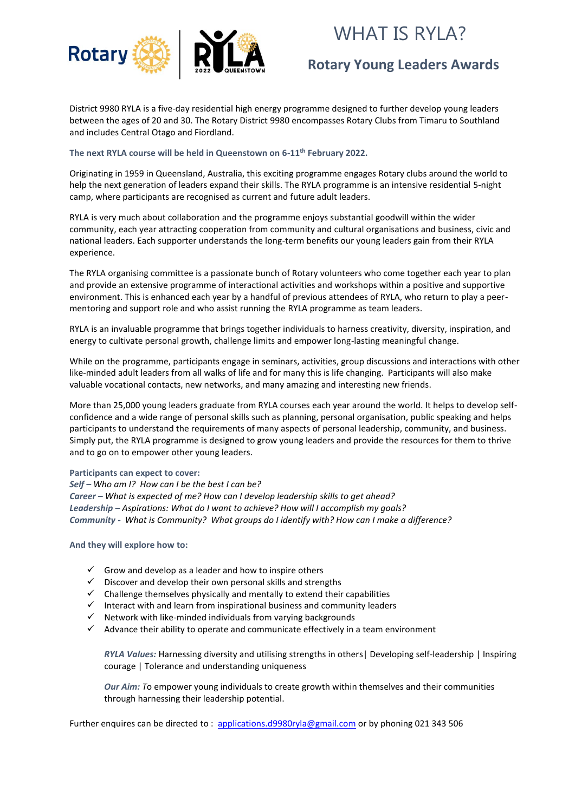

# WHAT IS RYLA?

## **Rotary Young Leaders Awards**

District 9980 RYLA is a five-day residential high energy programme designed to further develop young leaders between the ages of 20 and 30. The Rotary District 9980 encompasses Rotary Clubs from Timaru to Southland and includes Central Otago and Fiordland.

#### **The next RYLA course will be held in Queenstown on 6-11th February 2022.**

Originating in 1959 in Queensland, Australia, this exciting programme engages Rotary clubs around the world to help the next generation of leaders expand their skills. The RYLA programme is an intensive residential 5-night camp, where participants are recognised as current and future adult leaders.

RYLA is very much about collaboration and the programme enjoys substantial goodwill within the wider community, each year attracting cooperation from community and cultural organisations and business, civic and national leaders. Each supporter understands the long-term benefits our young leaders gain from their RYLA experience.

The RYLA organising committee is a passionate bunch of Rotary volunteers who come together each year to plan and provide an extensive programme of interactional activities and workshops within a positive and supportive environment. This is enhanced each year by a handful of previous attendees of RYLA, who return to play a peermentoring and support role and who assist running the RYLA programme as team leaders.

RYLA is an invaluable programme that brings together individuals to harness creativity, diversity, inspiration, and energy to cultivate personal growth, challenge limits and empower long-lasting meaningful change.

While on the programme, participants engage in seminars, activities, group discussions and interactions with other like-minded adult leaders from all walks of life and for many this is life changing. Participants will also make valuable vocational contacts, new networks, and many amazing and interesting new friends.

More than 25,000 young leaders graduate from RYLA courses each year around the world. It helps to develop selfconfidence and a wide range of personal skills such as planning, personal organisation, public speaking and helps participants to understand the requirements of many aspects of personal leadership, community, and business. Simply put, the RYLA programme is designed to grow young leaders and provide the resources for them to thrive and to go on to empower other young leaders.

#### **Participants can expect to cover:**

*Self – Who am I? How can I be the best I can be? Career – What is expected of me? How can I develop leadership skills to get ahead? Leadership – Aspirations: What do I want to achieve? How will I accomplish my goals? Community - What is Community? What groups do I identify with? How can I make a difference?*

**And they will explore how to:**

- $\checkmark$  Grow and develop as a leader and how to inspire others
- $\checkmark$  Discover and develop their own personal skills and strengths
- $\checkmark$  Challenge themselves physically and mentally to extend their capabilities
- ✓ Interact with and learn from inspirational business and community leaders
- $\checkmark$  Network with like-minded individuals from varying backgrounds
- $\checkmark$  Advance their ability to operate and communicate effectively in a team environment

*RYLA Values:* Harnessing diversity and utilising strengths in others| Developing self-leadership | Inspiring courage | Tolerance and understanding uniqueness

*Our Aim: T*o empower young individuals to create growth within themselves and their communities through harnessing their leadership potential.

Further enquires can be directed to : [applications.d9980ryla@gmail.com](mailto:applications.d9980ryla@gmail.com) or by phoning 021 343 506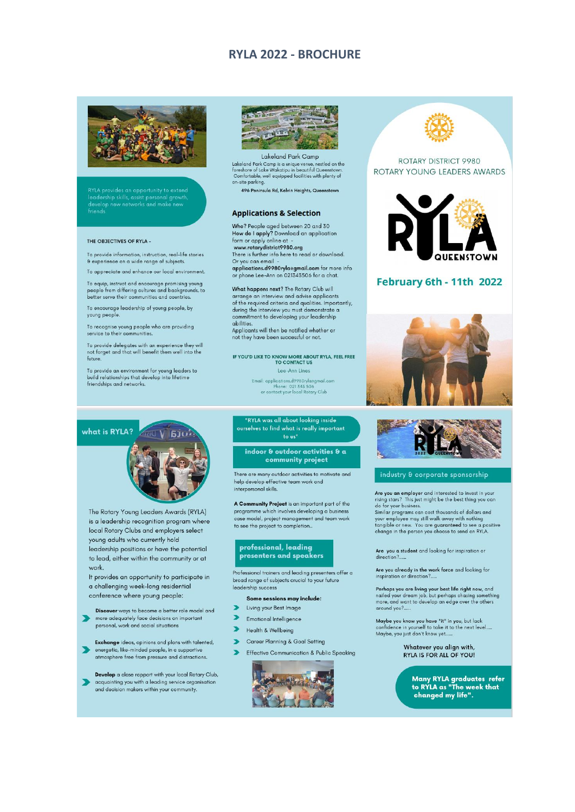#### **RYLA 2022 - BROCHURE**



RYLA provides an opportunity to extend<br>leadership skills, assist personal growth,<br>develop new networks and make new<br>friends

#### THE OBJECTIVES OF RYLA -

To provide information, instruction, real-life stories & experience on a wide range of subjects.

To appreciate and enhance our local environment.

To equip, instruct and encourage promising young<br>people from differing cultures and backgrounds, to<br>better serve their communities and countries.

To encourage leadership of young people, by young people.

To recognise young people who are providing<br>service to their communities.

To provide delegates with an experience they will<br>not forget and that will benefit them well into the future

To provide an environment for young leaders to<br>build relationships that develop into lifetime<br>friendships and networks.



Lakeland Park Camp Lakeland Park Camp is a unique venue, nestled on the<br>foreshore of Lake Wakatipu in beautiful Queenstown<br>Comfortable, well equipped facilities with plenty of<br>on-site parking. .<br>nestled on the

496 Peninsula Rd, Kelvin Heights, Queenstown

#### **Applications & Selection**

Who? People aged between 20 and 30<br>How do I apply? Download an application form or apply online at -<br>www.rotarydistrict9980.org

There is further info here to read or download.

Or you can email -<br>applications.d9980ryla@gmail.com for more info or phone Lee-Ann on 021343506 for a chat.

What happens next? The Rotary Club will arrange an interview and advise applicants of the required criteria and qualities. Importantly, during the interview you must demonstrate a<br>commitment to developing your leadership abilities.

Applicants will then be notified whether or not they have been successful or not.

IF YOU'D LIKE TO KNOW MORE ABOUT RYLA, FEEL FREE<br>TO CONTACT US Lee-Ann Lines

> Email: applications.d9980rylaegmail.com<br>Phone: 021 343 506<br>or contact your local Rotary Club ió<br>ary Club



The Rotary Young Leaders Awards (RYLA) is a leadership recognition program where local Rotary Clubs and employers select young adults who currently hold leadership positions or have the potential to lead, either within the community or at work.

It provides an opportunity to participate in a challenging week-long residential conference where young people:

Discover ways to become a better role model and  $\overline{\phantom{a}}$ more adequately face decisions on important personal, work and social situations

Exchange ideas, opinions and plans with talented, energetic, like-minded people, in a supportive atmosphere free from pressure and distractions.

Develop a close rapport with your local Rotary Club, acquainting you with a leading service organisation and decision makers within your community.

#### RYLA was all about looking inside ourselves to find what is really important  $to us''$

indoor & outdoor activities & a community project

There are many outdoor activities to motivate and help develop effective team work and interpersonal skills.

programme which involves developing a business case model, project management and team work to see the project to completion...

#### professional, leading presenters and speakers

Professional trainers and leading presenters offer a broad range of subjects crucial to your future leadership success

#### Some sessions may include:

- Living your Best Image
- Emotional Intelligence
- Health & Wellbeing
- Career Planning & Goal Setting
- > Effective Communication & Public Speaking





#### ROTARY DISTRICT 9980 ROTARY YOUNG LEADERS AWARDS



#### February 6th - 11th 2022





#### industry & corporate sponsorship

Are you an employer and interested to invest in your<br>rising stars? This just might be the best thing you can This just might be the best thing you can<br>itsing stars? This just might be the best thing you can<br>do for your business.<br>Similar programs can cost thousands of dollars and your employee may still walk away with nothing<br>tangible or new. You are guaranteed to see a positive<br>change in the person you choose to send on RYLA.

Are you a student and looking for inspiration or<br>direction?......

Are you already in the work force and looking for inspiration or direction?....

Perhaps you are living your best life right now, and<br>nailed your dream job, but perhaps chasing something<br>more, and want to develop an edge over the others around you?....

Maybe you know you have "it" in you, but lack<br>confidence in yourself to take it to the next level.....<br>Maybe, you just don't know yet......

Whatever you align with, RYLA IS FOR ALL OF YOU!

Many RYLA graduates refer<br>to RYLA as "The week that<br>changed my life".

A Community Project is an important part of the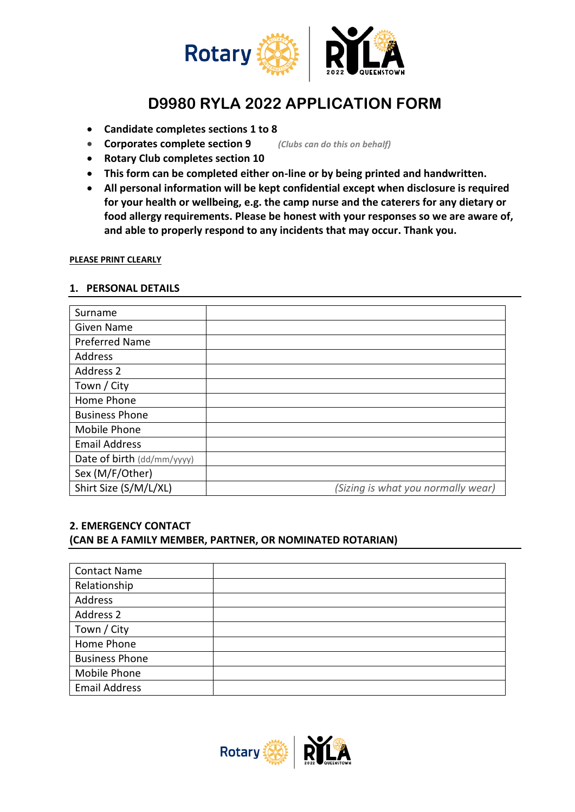

## **D9980 RYLA 2022 APPLICATION FORM**

- **Candidate completes sections 1 to 8**
- **Corporates complete section 9** *(Clubs can do this on behalf)*
- **Rotary Club completes section 10**
- **This form can be completed either on-line or by being printed and handwritten.**
- **All personal information will be kept confidential except when disclosure is required for your health or wellbeing, e.g. the camp nurse and the caterers for any dietary or food allergy requirements. Please be honest with your responses so we are aware of, and able to properly respond to any incidents that may occur. Thank you.**

#### **PLEASE PRINT CLEARLY**

#### **1. PERSONAL DETAILS**

| Surname                    |                                    |
|----------------------------|------------------------------------|
| <b>Given Name</b>          |                                    |
| <b>Preferred Name</b>      |                                    |
| Address                    |                                    |
| Address 2                  |                                    |
| Town / City                |                                    |
| Home Phone                 |                                    |
| <b>Business Phone</b>      |                                    |
| Mobile Phone               |                                    |
| <b>Email Address</b>       |                                    |
| Date of birth (dd/mm/yyyy) |                                    |
| Sex (M/F/Other)            |                                    |
| Shirt Size (S/M/L/XL)      | (Sizing is what you normally wear) |

### **2. EMERGENCY CONTACT (CAN BE A FAMILY MEMBER, PARTNER, OR NOMINATED ROTARIAN)**

| <b>Contact Name</b>   |  |
|-----------------------|--|
| Relationship          |  |
| Address               |  |
| Address 2             |  |
| Town / City           |  |
| Home Phone            |  |
| <b>Business Phone</b> |  |
| Mobile Phone          |  |
| <b>Email Address</b>  |  |

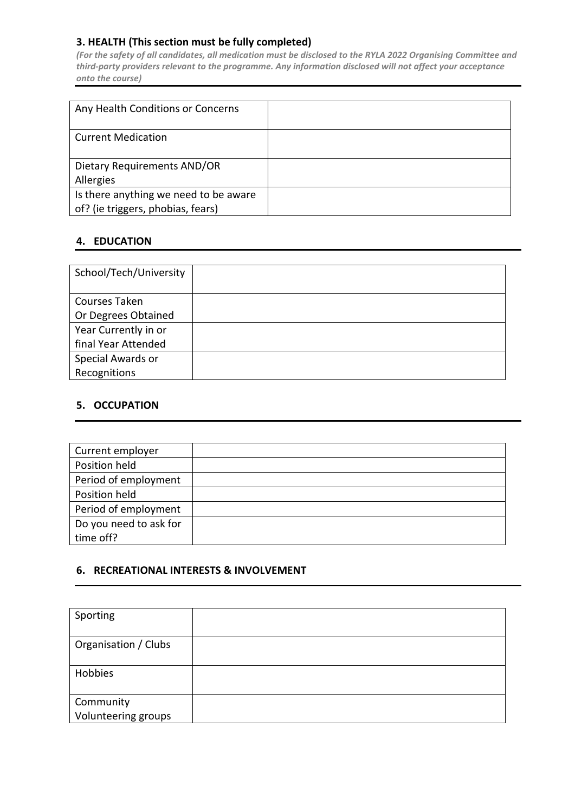### **3. HEALTH (This section must be fully completed)**

*(For the safety of all candidates, all medication must be disclosed to the RYLA 2022 Organising Committee and third-party providers relevant to the programme. Any information disclosed will not affect your acceptance onto the course)*

| Any Health Conditions or Concerns     |  |
|---------------------------------------|--|
| <b>Current Medication</b>             |  |
| Dietary Requirements AND/OR           |  |
| Allergies                             |  |
| Is there anything we need to be aware |  |
| of? (ie triggers, phobias, fears)     |  |

### **4. EDUCATION**

| School/Tech/University |  |
|------------------------|--|
| Courses Taken          |  |
| Or Degrees Obtained    |  |
| Year Currently in or   |  |
| final Year Attended    |  |
| Special Awards or      |  |
| Recognitions           |  |

### **5. OCCUPATION**

| Current employer       |  |
|------------------------|--|
| Position held          |  |
| Period of employment   |  |
| Position held          |  |
| Period of employment   |  |
| Do you need to ask for |  |
| time off?              |  |

### **6. RECREATIONAL INTERESTS & INVOLVEMENT**

| Sporting                         |  |
|----------------------------------|--|
| Organisation / Clubs             |  |
| Hobbies                          |  |
| Community<br>Volunteering groups |  |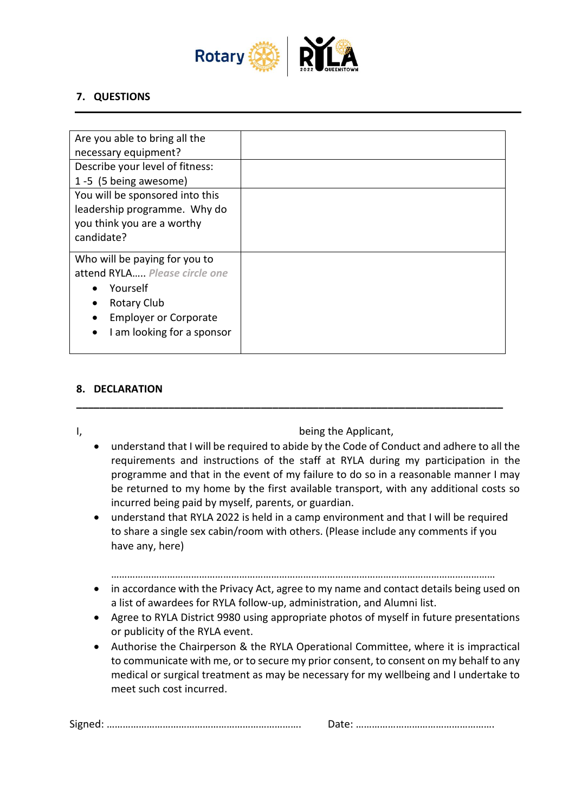

### **7. QUESTIONS**

| Are you able to bring all the<br>necessary equipment? |  |
|-------------------------------------------------------|--|
| Describe your level of fitness:                       |  |
| 1-5 (5 being awesome)                                 |  |
| You will be sponsored into this                       |  |
| leadership programme. Why do                          |  |
| you think you are a worthy                            |  |
| candidate?                                            |  |
| Who will be paying for you to                         |  |
| attend RYLA Please circle one                         |  |
| Yourself                                              |  |
| <b>Rotary Club</b>                                    |  |
| <b>Employer or Corporate</b>                          |  |
| I am looking for a sponsor                            |  |
|                                                       |  |

### **8. DECLARATION**

I, and the Applicant, the Applicant, the Applicant, the Applicant, the Applicant, the Applicant, the Applicant,

• understand that I will be required to abide by the Code of Conduct and adhere to all the requirements and instructions of the staff at RYLA during my participation in the programme and that in the event of my failure to do so in a reasonable manner I may be returned to my home by the first available transport, with any additional costs so incurred being paid by myself, parents, or guardian.

**\_\_\_\_\_\_\_\_\_\_\_\_\_\_\_\_\_\_\_\_\_\_\_\_\_\_\_\_\_\_\_\_\_\_\_\_\_\_\_\_\_\_\_\_\_\_\_\_\_\_\_\_\_\_\_\_\_\_\_\_\_\_\_\_\_\_\_\_\_\_\_\_\_\_**

• understand that RYLA 2022 is held in a camp environment and that I will be required to share a single sex cabin/room with others. (Please include any comments if you have any, here)

………………………………………………………………………………………………………………………………

- in accordance with the Privacy Act, agree to my name and contact details being used on a list of awardees for RYLA follow-up, administration, and Alumni list.
- Agree to RYLA District 9980 using appropriate photos of myself in future presentations or publicity of the RYLA event.
- Authorise the Chairperson & the RYLA Operational Committee, where it is impractical to communicate with me, or to secure my prior consent, to consent on my behalf to any medical or surgical treatment as may be necessary for my wellbeing and I undertake to meet such cost incurred.

| - |  |
|---|--|
|---|--|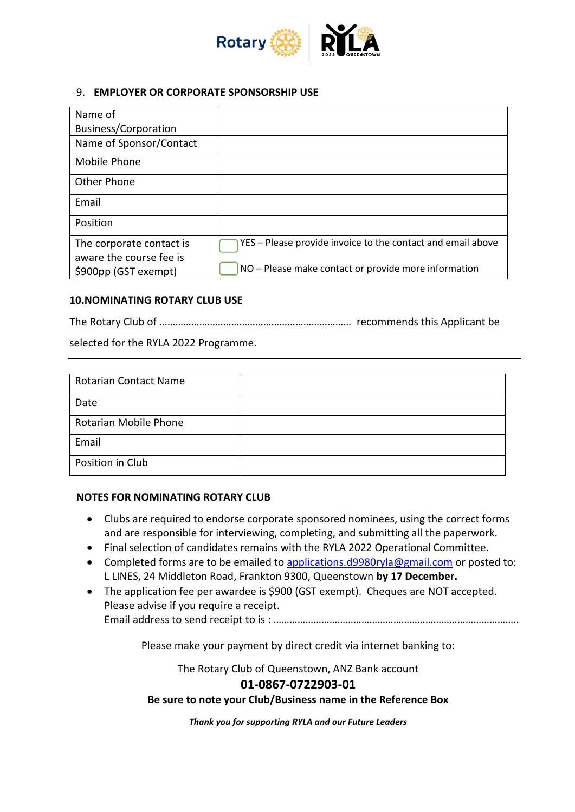

### 9. **EMPLOYER OR CORPORATE SPONSORSHIP USE**

| Name of                                             |                                                             |
|-----------------------------------------------------|-------------------------------------------------------------|
| <b>Business/Corporation</b>                         |                                                             |
| Name of Sponsor/Contact                             |                                                             |
| Mobile Phone                                        |                                                             |
| <b>Other Phone</b>                                  |                                                             |
| Email                                               |                                                             |
| Position                                            |                                                             |
| The corporate contact is<br>aware the course fee is | YES - Please provide invoice to the contact and email above |
| \$900pp (GST exempt)                                | NO - Please make contact or provide more information        |

### **10.NOMINATING ROTARY CLUB USE**

The Rotary Club of ……………………………………………………………… recommends this Applicant be

selected for the RYLA 2022 Programme.

| <b>Rotarian Contact Name</b> |  |
|------------------------------|--|
| Date                         |  |
| Rotarian Mobile Phone        |  |
| Email                        |  |
| Position in Club             |  |

#### **NOTES FOR NOMINATING ROTARY CLUB**

- Clubs are required to endorse corporate sponsored nominees, using the correct forms and are responsible for interviewing, completing, and submitting all the paperwork.
- Final selection of candidates remains with the RYLA 2022 Operational Committee.
- Completed forms are to be emailed to [applications.d9980ryla@gmail.com](mailto:applications.d9980ryla@gmail.com) or posted to: L LINES, 24 Middleton Road, Frankton 9300, Queenstown **by 17 December.**
- The application fee per awardee is \$900 (GST exempt). Cheques are NOT accepted. Please advise if you require a receipt.

Email address to send receipt to is : ………………………………………………………………………………..

Please make your payment by direct credit via internet banking to:

The Rotary Club of Queenstown, ANZ Bank account

### **01-0867-0722903-01**

**Be sure to note your Club/Business name in the Reference Box**

*Thank you for supporting RYLA and our Future Leaders*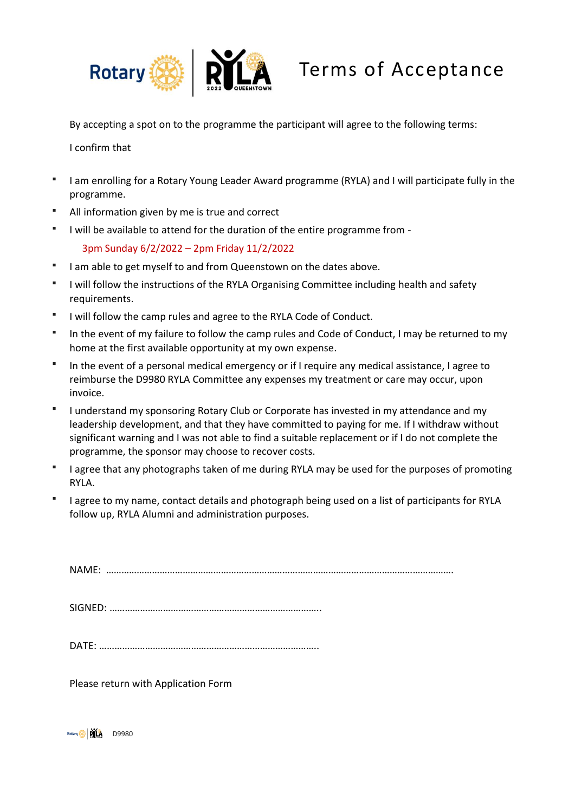

By accepting a spot on to the programme the participant will agree to the following terms:

I confirm that

- I am enrolling for a Rotary Young Leader Award programme (RYLA) and I will participate fully in the programme.
- All information given by me is true and correct
- I will be available to attend for the duration of the entire programme from -

3pm Sunday 6/2/2022 – 2pm Friday 11/2/2022

- I am able to get myself to and from Queenstown on the dates above.
- I will follow the instructions of the RYLA Organising Committee including health and safety requirements.
- I will follow the camp rules and agree to the RYLA Code of Conduct.
- In the event of my failure to follow the camp rules and Code of Conduct, I may be returned to my home at the first available opportunity at my own expense.
- In the event of a personal medical emergency or if I require any medical assistance, I agree to reimburse the D9980 RYLA Committee any expenses my treatment or care may occur, upon invoice.
- I understand my sponsoring Rotary Club or Corporate has invested in my attendance and my leadership development, and that they have committed to paying for me. If I withdraw without significant warning and I was not able to find a suitable replacement or if I do not complete the programme, the sponsor may choose to recover costs.
- I agree that any photographs taken of me during RYLA may be used for the purposes of promoting RYLA.
- I agree to my name, contact details and photograph being used on a list of participants for RYLA follow up, RYLA Alumni and administration purposes.

NAME: ……………………………………………………………………………………………………………………….

SIGNED: ………………………………………………………………………..

DATE: …………………………………………………………………………..

Please return with Application Form

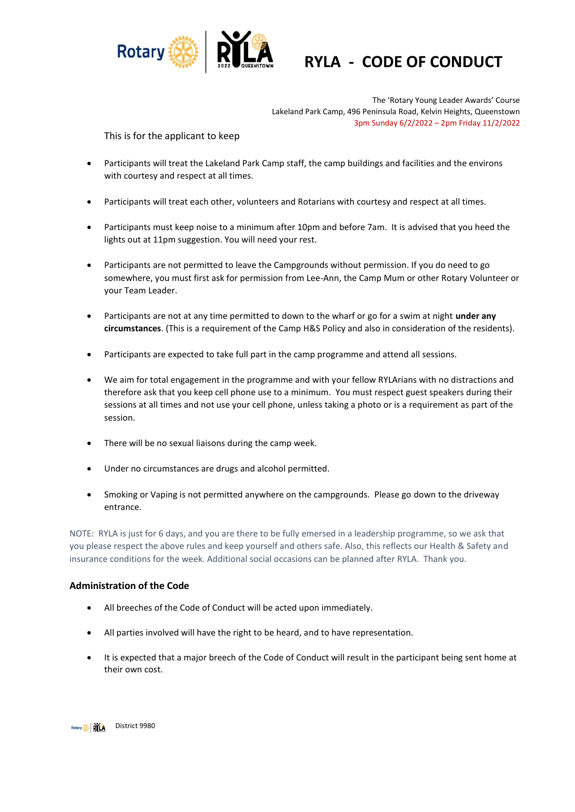

## **RYLA - CODE OF CONDUCT**

The 'Rotary Young Leader Awards' Course Lakeland Park Camp, 496 Peninsula Road, Kelvin Heights, Queenstown 3pm Sunday 6/2/2022 – 2pm Friday 11/2/2022

This is for the applicant to keep

- Participants will treat the Lakeland Park Camp staff, the camp buildings and facilities and the environs with courtesy and respect at all times.
- Participants will treat each other, volunteers and Rotarians with courtesy and respect at all times.
- Participants must keep noise to a minimum after 10pm and before 7am. It is advised that you heed the lights out at 11pm suggestion. You will need your rest.
- Participants are not permitted to leave the Campgrounds without permission. If you do need to go somewhere, you must first ask for permission from Lee-Ann, the Camp Mum or other Rotary Volunteer or your Team Leader.
- Participants are not at any time permitted to down to the wharf or go for a swim at night **under any circumstances**. (This is a requirement of the Camp H&S Policy and also in consideration of the residents).
- Participants are expected to take full part in the camp programme and attend all sessions.
- We aim for total engagement in the programme and with your fellow RYLArians with no distractions and therefore ask that you keep cell phone use to a minimum. You must respect guest speakers during their sessions at all times and not use your cell phone, unless taking a photo or is a requirement as part of the session.
- There will be no sexual liaisons during the camp week.
- Under no circumstances are drugs and alcohol permitted.
- Smoking or Vaping is not permitted anywhere on the campgrounds. Please go down to the driveway entrance.

NOTE: RYLA is just for 6 days, and you are there to be fully emersed in a leadership programme, so we ask that you please respect the above rules and keep yourself and others safe. Also, this reflects our Health & Safety and insurance conditions for the week. Additional social occasions can be planned after RYLA. Thank you.

#### **Administration of the Code**

- All breeches of the Code of Conduct will be acted upon immediately.
- All parties involved will have the right to be heard, and to have representation.
- It is expected that a major breech of the Code of Conduct will result in the participant being sent home at their own cost.